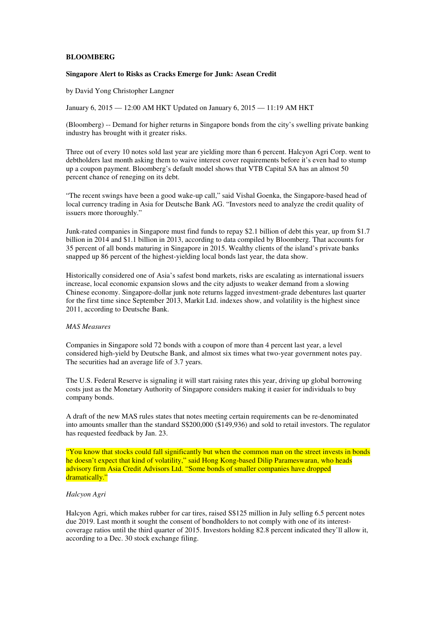## **BLOOMBERG**

#### **Singapore Alert to Risks as Cracks Emerge for Junk: Asean Credit**

by David Yong Christopher Langner

January 6, 2015 — 12:00 AM HKT Updated on January 6, 2015 — 11:19 AM HKT

(Bloomberg) -- Demand for higher returns in Singapore bonds from the city's swelling private banking industry has brought with it greater risks.

Three out of every 10 notes sold last year are yielding more than 6 percent. Halcyon Agri Corp. went to debtholders last month asking them to waive interest cover requirements before it's even had to stump up a coupon payment. Bloomberg's default model shows that VTB Capital SA has an almost 50 percent chance of reneging on its debt.

"The recent swings have been a good wake-up call," said Vishal Goenka, the Singapore-based head of local currency trading in Asia for Deutsche Bank AG. "Investors need to analyze the credit quality of issuers more thoroughly."

Junk-rated companies in Singapore must find funds to repay \$2.1 billion of debt this year, up from \$1.7 billion in 2014 and \$1.1 billion in 2013, according to data compiled by Bloomberg. That accounts for 35 percent of all bonds maturing in Singapore in 2015. Wealthy clients of the island's private banks snapped up 86 percent of the highest-yielding local bonds last year, the data show.

Historically considered one of Asia's safest bond markets, risks are escalating as international issuers increase, local economic expansion slows and the city adjusts to weaker demand from a slowing Chinese economy. Singapore-dollar junk note returns lagged investment-grade debentures last quarter for the first time since September 2013, Markit Ltd. indexes show, and volatility is the highest since 2011, according to Deutsche Bank.

## *MAS Measures*

Companies in Singapore sold 72 bonds with a coupon of more than 4 percent last year, a level considered high-yield by Deutsche Bank, and almost six times what two-year government notes pay. The securities had an average life of 3.7 years.

The U.S. Federal Reserve is signaling it will start raising rates this year, driving up global borrowing costs just as the Monetary Authority of Singapore considers making it easier for individuals to buy company bonds.

A draft of the new MAS rules states that notes meeting certain requirements can be re-denominated into amounts smaller than the standard S\$200,000 (\$149,936) and sold to retail investors. The regulator has requested feedback by Jan. 23.

"You know that stocks could fall significantly but when the common man on the street invests in bonds he doesn't expect that kind of volatility," said Hong Kong-based Dilip Parameswaran, who heads advisory firm Asia Credit Advisors Ltd. "Some bonds of smaller companies have dropped dramatically."

# *Halcyon Agri*

Halcyon Agri, which makes rubber for car tires, raised S\$125 million in July selling 6.5 percent notes due 2019. Last month it sought the consent of bondholders to not comply with one of its interestcoverage ratios until the third quarter of 2015. Investors holding 82.8 percent indicated they'll allow it, according to a Dec. 30 stock exchange filing.